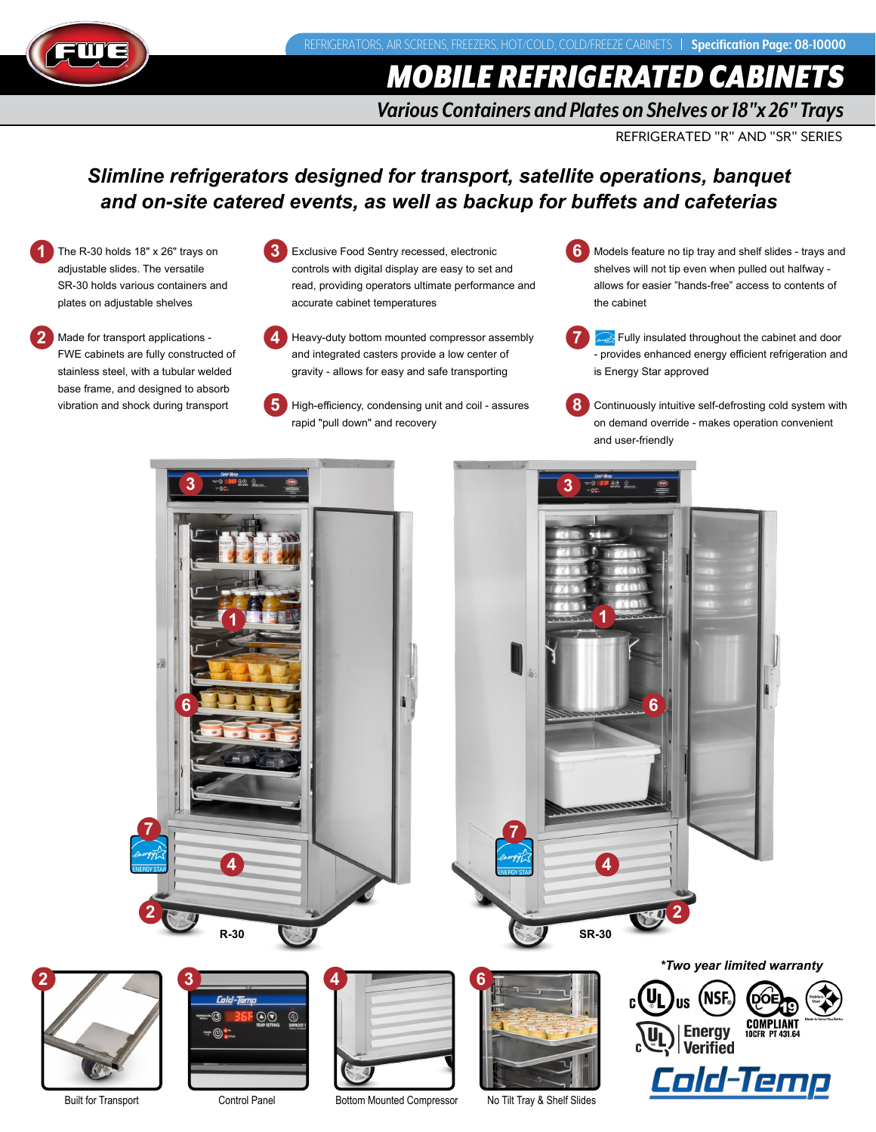

# *MOBILE REFRIGERATED CABINETS*

## *Various Containers and Plates on Shelves or 18"x 26" Trays*

REFRIGERATED "R" AND "SR" SERIES

# *Slimline refrigerators designed for transport, satellite operations, banquet and on-site catered events, as well as backup for buffets and cafeterias*

- The R-30 holds 18" x 26" trays on adjustable slides. The versatile SR-30 holds various containers and plates on adjustable shelves **1**
- Made for transport applications FWE cabinets are fully constructed of stainless steel, with a tubular welded base frame, and designed to absorb vibration and shock during transport **2**
- Exclusive Food Sentry recessed, electronic controls with digital display are easy to set and read, providing operators ultimate performance and accurate cabinet temperatures

**3**

**5**

- Heavy-duty bottom mounted compressor assembly and integrated casters provide a low center of gravity - allows for easy and safe transporting **4**
	- High-efficiency, condensing unit and coil assures rapid "pull down" and recovery
- Models feature no tip tray and shelf slides trays and **6** shelves will not tip even when pulled out halfway allows for easier "hands-free" access to contents of the cabinet
- Fully insulated throughout the cabinet and door - provides enhanced energy efficient refrigeration and is Energy Star approved **7**
- Continuously intuitive self-defrosting cold system with on demand override - makes operation convenient and user-friendly **8**



Built for Transport Control Panel Bottom Mounted Compressor No Tilt Tray & Shelf Slides